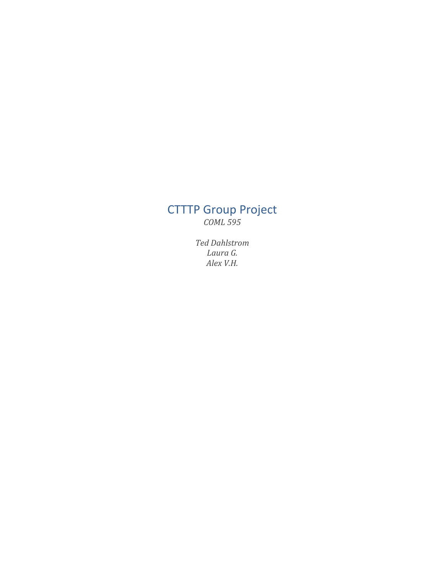# **CTTTP** Group Project *COML 595*

*Ted Dahlstrom Laura G. Alex V.H.*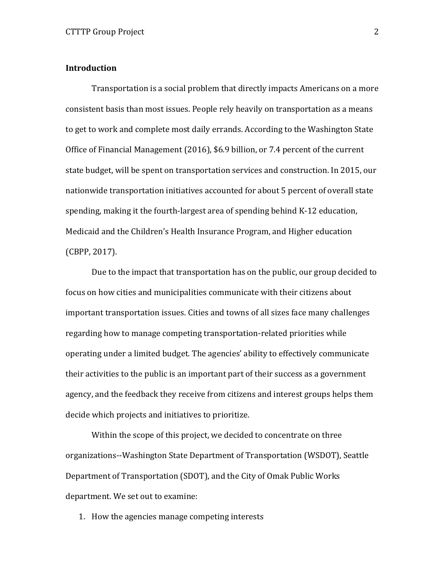## **Introduction**

Transportation is a social problem that directly impacts Americans on a more consistent basis than most issues. People rely heavily on transportation as a means to get to work and complete most daily errands. According to the Washington State Office of Financial Management  $(2016)$ , \$6.9 billion, or 7.4 percent of the current state budget, will be spent on transportation services and construction. In 2015, our nationwide transportation initiatives accounted for about 5 percent of overall state spending, making it the fourth-largest area of spending behind K-12 education, Medicaid and the Children's Health Insurance Program, and Higher education (CBPP, 2017).

Due to the impact that transportation has on the public, our group decided to focus on how cities and municipalities communicate with their citizens about important transportation issues. Cities and towns of all sizes face many challenges regarding how to manage competing transportation-related priorities while operating under a limited budget. The agencies' ability to effectively communicate their activities to the public is an important part of their success as a government agency, and the feedback they receive from citizens and interest groups helps them decide which projects and initiatives to prioritize.

Within the scope of this project, we decided to concentrate on three organizations--Washington State Department of Transportation (WSDOT), Seattle Department of Transportation (SDOT), and the City of Omak Public Works department. We set out to examine:

1. How the agencies manage competing interests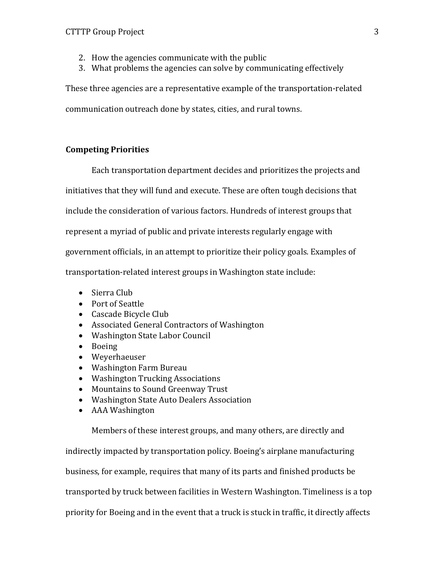- 2. How the agencies communicate with the public
- 3. What problems the agencies can solve by communicating effectively

These three agencies are a representative example of the transportation-related communication outreach done by states, cities, and rural towns.

## **Competing Priorities**

Each transportation department decides and prioritizes the projects and

initiatives that they will fund and execute. These are often tough decisions that

include the consideration of various factors. Hundreds of interest groups that

represent a myriad of public and private interests regularly engage with

government officials, in an attempt to prioritize their policy goals. Examples of

transportation-related interest groups in Washington state include:

- Sierra Club
- Port of Seattle
- Cascade Bicycle Club
- Associated General Contractors of Washington
- Washington State Labor Council
- Boeing
- Weyerhaeuser
- Washington Farm Bureau
- Washington Trucking Associations
- Mountains to Sound Greenway Trust
- Washington State Auto Dealers Association
- AAA Washington

Members of these interest groups, and many others, are directly and

indirectly impacted by transportation policy. Boeing's airplane manufacturing

business, for example, requires that many of its parts and finished products be

transported by truck between facilities in Western Washington. Timeliness is a top

priority for Boeing and in the event that a truck is stuck in traffic, it directly affects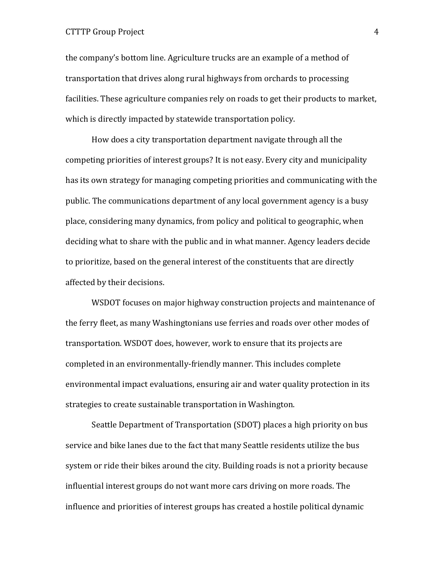#### CTTTP Group Project 4

the company's bottom line. Agriculture trucks are an example of a method of transportation that drives along rural highways from orchards to processing facilities. These agriculture companies rely on roads to get their products to market, which is directly impacted by statewide transportation policy.

How does a city transportation department navigate through all the competing priorities of interest groups? It is not easy. Every city and municipality has its own strategy for managing competing priorities and communicating with the public. The communications department of any local government agency is a busy place, considering many dynamics, from policy and political to geographic, when deciding what to share with the public and in what manner. Agency leaders decide to prioritize, based on the general interest of the constituents that are directly affected by their decisions.

WSDOT focuses on major highway construction projects and maintenance of the ferry fleet, as many Washingtonians use ferries and roads over other modes of transportation. WSDOT does, however, work to ensure that its projects are completed in an environmentally-friendly manner. This includes complete environmental impact evaluations, ensuring air and water quality protection in its strategies to create sustainable transportation in Washington.

Seattle Department of Transportation (SDOT) places a high priority on bus service and bike lanes due to the fact that many Seattle residents utilize the bus system or ride their bikes around the city. Building roads is not a priority because influential interest groups do not want more cars driving on more roads. The influence and priorities of interest groups has created a hostile political dynamic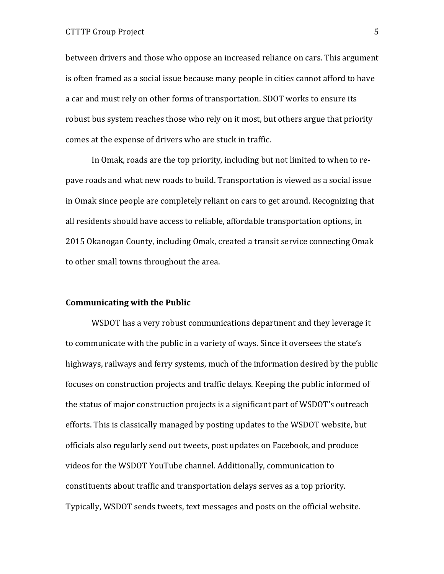### CTTTP Group Project 5

between drivers and those who oppose an increased reliance on cars. This argument is often framed as a social issue because many people in cities cannot afford to have a car and must rely on other forms of transportation. SDOT works to ensure its robust bus system reaches those who rely on it most, but others argue that priority comes at the expense of drivers who are stuck in traffic.

In Omak, roads are the top priority, including but not limited to when to repave roads and what new roads to build. Transportation is viewed as a social issue in Omak since people are completely reliant on cars to get around. Recognizing that all residents should have access to reliable, affordable transportation options, in 2015 Okanogan County, including Omak, created a transit service connecting Omak to other small towns throughout the area.

#### **Communicating with the Public**

WSDOT has a very robust communications department and they leverage it to communicate with the public in a variety of ways. Since it oversees the state's highways, railways and ferry systems, much of the information desired by the public focuses on construction projects and traffic delays. Keeping the public informed of the status of major construction projects is a significant part of WSDOT's outreach efforts. This is classically managed by posting updates to the WSDOT website, but officials also regularly send out tweets, post updates on Facebook, and produce videos for the WSDOT YouTube channel. Additionally, communication to constituents about traffic and transportation delays serves as a top priority. Typically, WSDOT sends tweets, text messages and posts on the official website.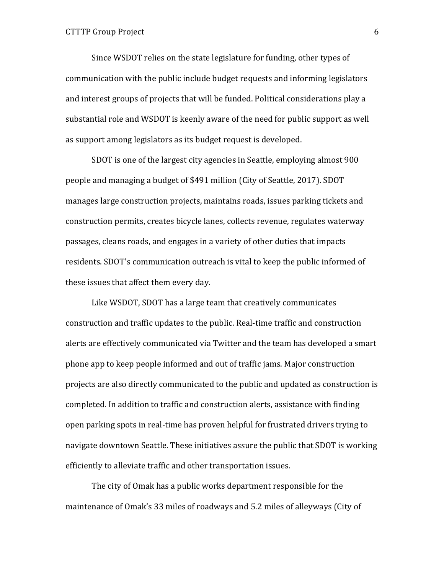Since WSDOT relies on the state legislature for funding, other types of communication with the public include budget requests and informing legislators and interest groups of projects that will be funded. Political considerations play a substantial role and WSDOT is keenly aware of the need for public support as well as support among legislators as its budget request is developed.

SDOT is one of the largest city agencies in Seattle, employing almost 900 people and managing a budget of \$491 million (City of Seattle, 2017). SDOT manages large construction projects, maintains roads, issues parking tickets and construction permits, creates bicycle lanes, collects revenue, regulates waterway passages, cleans roads, and engages in a variety of other duties that impacts residents. SDOT's communication outreach is vital to keep the public informed of these issues that affect them every day.

Like WSDOT, SDOT has a large team that creatively communicates construction and traffic updates to the public. Real-time traffic and construction alerts are effectively communicated via Twitter and the team has developed a smart phone app to keep people informed and out of traffic jams. Major construction projects are also directly communicated to the public and updated as construction is completed. In addition to traffic and construction alerts, assistance with finding open parking spots in real-time has proven helpful for frustrated drivers trying to navigate downtown Seattle. These initiatives assure the public that SDOT is working efficiently to alleviate traffic and other transportation issues.

The city of Omak has a public works department responsible for the maintenance of Omak's 33 miles of roadways and 5.2 miles of alleyways (City of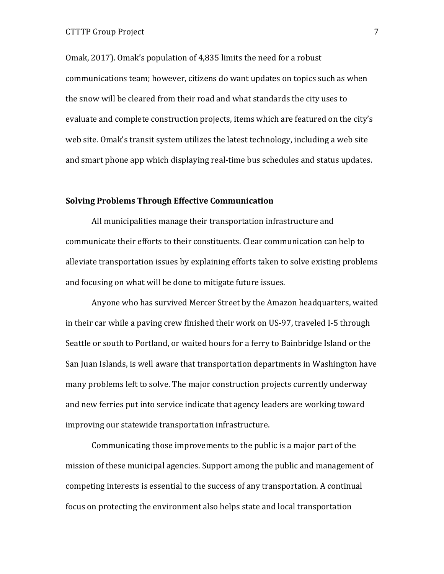Omak, 2017). Omak's population of 4,835 limits the need for a robust communications team; however, citizens do want updates on topics such as when the snow will be cleared from their road and what standards the city uses to evaluate and complete construction projects, items which are featured on the city's web site. Omak's transit system utilizes the latest technology, including a web site and smart phone app which displaying real-time bus schedules and status updates.

### **Solving Problems Through Effective Communication**

All municipalities manage their transportation infrastructure and communicate their efforts to their constituents. Clear communication can help to alleviate transportation issues by explaining efforts taken to solve existing problems and focusing on what will be done to mitigate future issues.

Anyone who has survived Mercer Street by the Amazon headquarters, waited in their car while a paving crew finished their work on US-97, traveled I-5 through Seattle or south to Portland, or waited hours for a ferry to Bainbridge Island or the San Juan Islands, is well aware that transportation departments in Washington have many problems left to solve. The major construction projects currently underway and new ferries put into service indicate that agency leaders are working toward improving our statewide transportation infrastructure.

Communicating those improvements to the public is a major part of the mission of these municipal agencies. Support among the public and management of competing interests is essential to the success of any transportation. A continual focus on protecting the environment also helps state and local transportation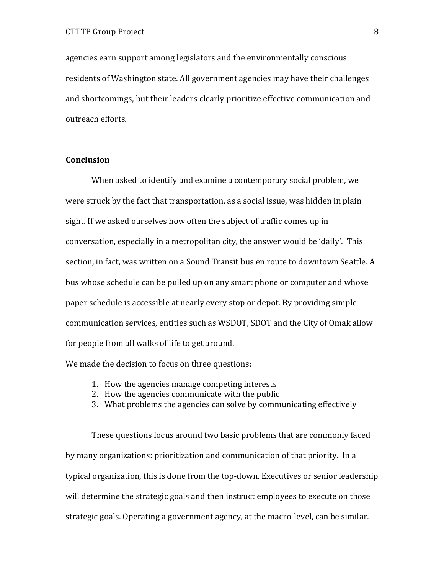agencies earn support among legislators and the environmentally conscious residents of Washington state. All government agencies may have their challenges and shortcomings, but their leaders clearly prioritize effective communication and outreach efforts.

## **Conclusion**

When asked to identify and examine a contemporary social problem, we were struck by the fact that transportation, as a social issue, was hidden in plain sight. If we asked ourselves how often the subject of traffic comes up in conversation, especially in a metropolitan city, the answer would be 'daily'. This section, in fact, was written on a Sound Transit bus en route to downtown Seattle. A bus whose schedule can be pulled up on any smart phone or computer and whose paper schedule is accessible at nearly every stop or depot. By providing simple communication services, entities such as WSDOT, SDOT and the City of Omak allow for people from all walks of life to get around.

We made the decision to focus on three questions:

- 1. How the agencies manage competing interests
- 2. How the agencies communicate with the public
- 3. What problems the agencies can solve by communicating effectively

These questions focus around two basic problems that are commonly faced by many organizations: prioritization and communication of that priority. In a typical organization, this is done from the top-down. Executives or senior leadership will determine the strategic goals and then instruct employees to execute on those strategic goals. Operating a government agency, at the macro-level, can be similar.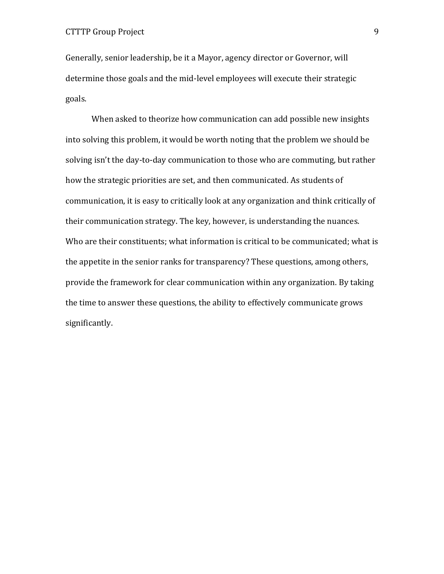Generally, senior leadership, be it a Mayor, agency director or Governor, will determine those goals and the mid-level employees will execute their strategic goals.

When asked to theorize how communication can add possible new insights into solving this problem, it would be worth noting that the problem we should be solving isn't the day-to-day communication to those who are commuting, but rather how the strategic priorities are set, and then communicated. As students of communication, it is easy to critically look at any organization and think critically of their communication strategy. The key, however, is understanding the nuances. Who are their constituents; what information is critical to be communicated; what is the appetite in the senior ranks for transparency? These questions, among others, provide the framework for clear communication within any organization. By taking the time to answer these questions, the ability to effectively communicate grows significantly.